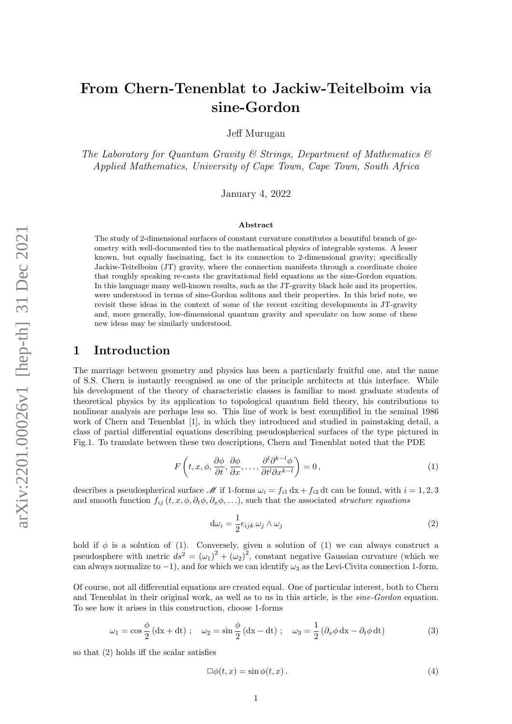# From Chern-Tenenblat to Jackiw-Teitelboim via sine-Gordon

Jeff Murugan

The Laboratory for Quantum Gravity  $\mathcal C$  Strings, Department of Mathematics  $\mathcal C$ Applied Mathematics, University of Cape Town, Cape Town, South Africa

January 4, 2022

#### Abstract

The study of 2-dimensional surfaces of constant curvature constitutes a beautiful branch of geometry with well-documented ties to the mathematical physics of integrable systems. A lesser known, but equally fascinating, fact is its connection to 2-dimensional gravity; specifically Jackiw-Teitelboim (JT) gravity, where the connection manifests through a coordinate choice that roughly speaking re-casts the gravitational field equations as the sine-Gordon equation. In this language many well-known results, such as the JT-gravity black hole and its properties, were understood in terms of sine-Gordon solitons and their properties. In this brief note, we revisit these ideas in the context of some of the recent exciting developments in JT-gravity and, more generally, low-dimensional quantum gravity and speculate on how some of these new ideas may be similarly understood.

### 1 Introduction

The marriage between geometry and physics has been a particularly fruitful one, and the name of S.S. Chern is instantly recognised as one of the principle architects at this interface. While his development of the theory of characteristic classes is familiar to most graduate students of theoretical physics by its application to topological quantum field theory, his contributions to nonlinear analysis are perhaps less so. This line of work is best exemplified in the seminal 1986 work of Chern and Tenenblat [\[1\]](#page-5-0), in which they introduced and studied in painstaking detail, a class of partial differential equations describing pseudospherical surfaces of the type pictured in Fig.1. To translate between these two descriptions, Chern and Tenenblat noted that the PDE

<span id="page-0-0"></span>
$$
F\left(t, x, \phi, \frac{\partial \phi}{\partial t}, \frac{\partial \phi}{\partial x}, \dots, \frac{\partial^l \partial^{k-l} \phi}{\partial t^l \partial x^{k-l}}\right) = 0, \tag{1}
$$

describes a pseudospherical surface M if 1-forms  $\omega_i = f_{i1} dx + f_{i2} dt$  can be found, with  $i = 1, 2, 3$ and smooth function  $f_{ij} (t, x, \phi, \partial_t \phi, \partial_x \phi, \ldots)$ , such that the associated structure equations

<span id="page-0-1"></span>
$$
d\omega_i = \frac{1}{2} \epsilon_{ijk} \,\omega_j \wedge \omega_j \tag{2}
$$

hold if  $\phi$  is a solution of [\(1\)](#page-0-0). Conversely, given a solution of (1) we can always construct a pseudosphere with metric  $ds^2 = (\omega_1)^2 + (\omega_2)^2$ , constant negative Gaussian curvature (which we can always normalize to  $-1$ ), and for which we can identify  $\omega_3$  as the Levi-Civita connection 1-form.

Of course, not all differential equations are created equal. One of particular interest, both to Chern and Tenenblat in their original work, as well as to us in this article, is the *sine-Gordon* equation. To see how it arises in this construction, choose 1-forms

$$
\omega_1 = \cos\frac{\phi}{2} \left( dx + dt \right) ; \quad \omega_2 = \sin\frac{\phi}{2} \left( dx - dt \right) ; \quad \omega_3 = \frac{1}{2} \left( \partial_x \phi \, dx - \partial_t \phi \, dt \right) \tag{3}
$$

so that [\(2\)](#page-0-1) holds iff the scalar satisfies

<span id="page-0-2"></span>
$$
\Box \phi(t, x) = \sin \phi(t, x). \tag{4}
$$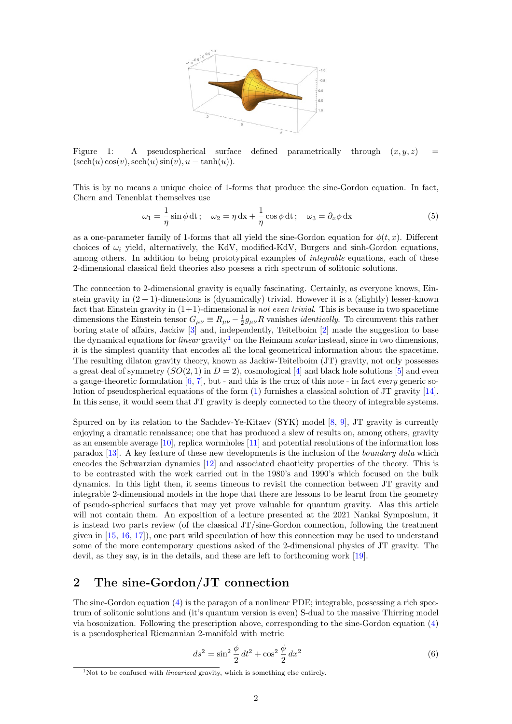

Figure 1: A pseudospherical surface defined parametrically through  $(x, y, z)$  $(\operatorname{sech}(u) \cos(v), \operatorname{sech}(u) \sin(v), u - \tanh(u)).$ 

This is by no means a unique choice of 1-forms that produce the sine-Gordon equation. In fact, Chern and Tenenblat themselves use

$$
\omega_1 = -\frac{1}{\eta} \sin \phi \, dt; \quad \omega_2 = \eta \, dx + \frac{1}{\eta} \cos \phi \, dt; \quad \omega_3 = \partial_x \phi \, dx \tag{5}
$$

as a one-parameter family of 1-forms that all yield the sine-Gordon equation for  $\phi(t, x)$ . Different choices of  $\omega_i$  yield, alternatively, the KdV, modified-KdV, Burgers and sinh-Gordon equations, among others. In addition to being prototypical examples of *integrable* equations, each of these 2-dimensional classical field theories also possess a rich spectrum of solitonic solutions.

The connection to 2-dimensional gravity is equally fascinating. Certainly, as everyone knows, Einstein gravity in  $(2 + 1)$ -dimensions is (dynamically) trivial. However it is a (slightly) lesser-known fact that Einstein gravity in  $(1+1)$ -dimensional is not even trivial. This is because in two spacetime dimensions the Einstein tensor  $G_{\mu\nu} \equiv R_{\mu\nu} - \frac{1}{2}g_{\mu\nu}R$  vanishes *identically*. To circumvent this rather boring state of affairs, Jackiw  $\left|3\right|$  and, independently, Teitelboim  $\left|2\right|$  made the suggestion to base the dynamical equations for *linear* gravity<sup>[1](#page-1-0)</sup> on the Reimann scalar instead, since in two dimensions, it is the simplest quantity that encodes all the local geometrical information about the spacetime. The resulting dilaton gravity theory, known as Jackiw-Teitelboim (JT) gravity, not only possesses a great deal of symmetry  $(SO(2, 1)$  in  $D = 2)$ , cosmological [\[4\]](#page-5-3) and black hole solutions [\[5\]](#page-5-4) and even a gauge-theoretic formulation  $[6, 7]$  $[6, 7]$  $[6, 7]$ , but - and this is the crux of this note - in fact *every* generic solution of pseudospherical equations of the form [\(1\)](#page-0-0) furnishes a classical solution of JT gravity [\[14\]](#page-5-7). In this sense, it would seem that JT gravity is deeply connected to the theory of integrable systems.

Spurred on by its relation to the Sachdev-Ye-Kitaev (SYK) model [\[8,](#page-5-8) [9\]](#page-5-9), JT gravity is currently enjoying a dramatic renaissance; one that has produced a slew of results on, among others, gravity as an ensemble average [\[10\]](#page-5-10), replica wormholes [\[11\]](#page-5-11) and potential resolutions of the information loss paradox [\[13\]](#page-5-12). A key feature of these new developments is the inclusion of the boundary data which encodes the Schwarzian dynamics [\[12\]](#page-5-13) and associated chaoticity properties of the theory. This is to be contrasted with the work carried out in the 1980's and 1990's which focused on the bulk dynamics. In this light then, it seems timeous to revisit the connection between JT gravity and integrable 2-dimensional models in the hope that there are lessons to be learnt from the geometry of pseudo-spherical surfaces that may yet prove valuable for quantum gravity. Alas this article will not contain them. An exposition of a lecture presented at the 2021 Nankai Symposium, it is instead two parts review (of the classical JT/sine-Gordon connection, following the treatment given in [\[15,](#page-5-14) [16,](#page-5-15) [17\]](#page-5-16)), one part wild speculation of how this connection may be used to understand some of the more contemporary questions asked of the 2-dimensional physics of JT gravity. The devil, as they say, is in the details, and these are left to forthcoming work [\[19\]](#page-5-17).

# 2 The sine-Gordon/JT connection

The sine-Gordon equation [\(4\)](#page-0-2) is the paragon of a nonlinear PDE; integrable, possessing a rich spectrum of solitonic solutions and (it's quantum version is even) S-dual to the massive Thirring model via bosonization. Following the prescription above, corresponding to the sine-Gordon equation [\(4\)](#page-0-2) is a pseudospherical Riemannian 2-manifold with metric

$$
ds^{2} = \sin^{2} \frac{\phi}{2} dt^{2} + \cos^{2} \frac{\phi}{2} dx^{2}
$$
 (6)

<span id="page-1-0"></span><sup>&</sup>lt;sup>1</sup>Not to be confused with *linearized* gravity, which is something else entirely.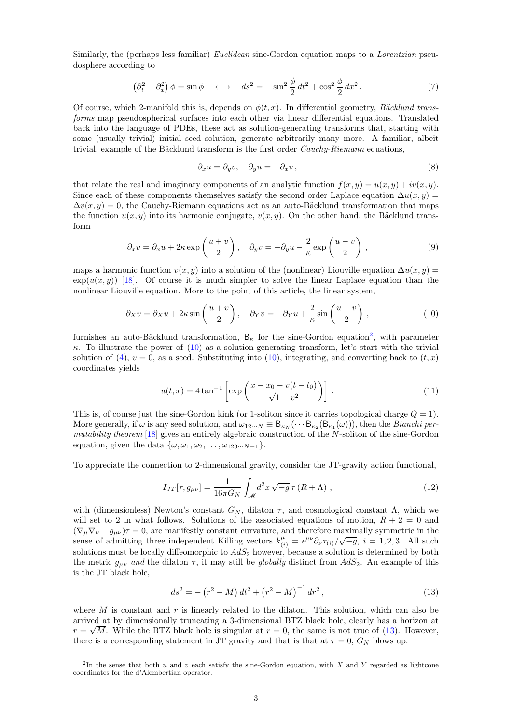Similarly, the (perhaps less familiar) *Euclidean* sine-Gordon equation maps to a *Lorentzian* pseudosphere according to

<span id="page-2-3"></span>
$$
\left(\partial_t^2 + \partial_x^2\right)\phi = \sin\phi \quad \longleftrightarrow \quad ds^2 = -\sin^2\frac{\phi}{2}dt^2 + \cos^2\frac{\phi}{2}dx^2. \tag{7}
$$

Of course, which 2-manifold this is, depends on  $\phi(t, x)$ . In differential geometry, Bäcklund transforms map pseudospherical surfaces into each other via linear differential equations. Translated back into the language of PDEs, these act as solution-generating transforms that, starting with some (usually trivial) initial seed solution, generate arbitrarily many more. A familiar, albeit trivial, example of the Bäcklund transform is the first order  $Cauchy-Riemann$  equations,

$$
\partial_x u = \partial_y v, \quad \partial_y u = -\partial_x v \,, \tag{8}
$$

that relate the real and imaginary components of an analytic function  $f(x, y) = u(x, y) + iv(x, y)$ . Since each of these components themselves satisfy the second order Laplace equation  $\Delta u(x, y) =$  $\Delta v(x, y) = 0$ , the Cauchy-Riemann equations act as an auto-Bäcklund transformation that maps the function  $u(x, y)$  into its harmonic conjugate,  $v(x, y)$ . On the other hand, the Bäcklund transform

$$
\partial_x v = \partial_x u + 2\kappa \exp\left(\frac{u+v}{2}\right), \quad \partial_y v = -\partial_y u - \frac{2}{\kappa} \exp\left(\frac{u-v}{2}\right),\tag{9}
$$

maps a harmonic function  $v(x, y)$  into a solution of the (nonlinear) Liouville equation  $\Delta u(x, y) =$  $\exp(u(x, y))$  [\[18\]](#page-5-18). Of course it is much simpler to solve the linear Laplace equation than the nonlinear Liouville equation. More to the point of this article, the linear system,

<span id="page-2-1"></span>
$$
\partial_X v = \partial_X u + 2\kappa \sin\left(\frac{u+v}{2}\right), \quad \partial_Y v = -\partial_Y u + \frac{2}{\kappa} \sin\left(\frac{u-v}{2}\right),\tag{10}
$$

furnishes an auto-Bäcklund transformation,  $B_{\kappa}$  for the sine-Gordon equation<sup>[2](#page-2-0)</sup>, with parameter κ. To illustrate the power of [\(10\)](#page-2-1) as a solution-generating transform, let's start with the trivial solution of [\(4\)](#page-0-2),  $v = 0$ , as a seed. Substituting into [\(10\)](#page-2-1), integrating, and converting back to  $(t, x)$ coordinates yields

<span id="page-2-4"></span>
$$
u(t,x) = 4 \tan^{-1} \left[ \exp \left( \frac{x - x_0 - v(t - t_0)}{\sqrt{1 - v^2}} \right) \right].
$$
 (11)

This is, of course just the sine-Gordon kink (or 1-soliton since it carries topological charge  $Q = 1$ ). More generally, if  $\omega$  is any seed solution, and  $\omega_{12\cdots N} \equiv \mathsf{B}_{\kappa_N}(\cdots \mathsf{B}_{\kappa_2}(\mathsf{B}_{\kappa_1}(\omega)))$ , then the *Bianchi per*mutability theorem  $[18]$  gives an entirely algebraic construction of the N-soliton of the sine-Gordon equation, given the data  $\{\omega, \omega_1, \omega_2, \ldots, \omega_{123\cdots N-1}\}.$ 

To appreciate the connection to 2-dimensional gravity, consider the JT-gravity action functional,

$$
I_{JT}[\tau, g_{\mu\nu}] = \frac{1}{16\pi G_N} \int_{\mathcal{M}} d^2x \sqrt{-g} \,\tau (R + \Lambda) , \qquad (12)
$$

with (dimensionless) Newton's constant  $G_N$ , dilaton  $\tau$ , and cosmological constant  $\Lambda$ , which we will set to 2 in what follows. Solutions of the associated equations of motion,  $R + 2 = 0$  and  $(\nabla_{\mu}\nabla_{\nu} - g_{\mu\nu})\tau = 0$ , are manifestly constant curvature, and therefore maximally symmetric in the sense of admitting three independent Killing vectors  $k_{(i)}^{\mu} = \epsilon^{\mu\nu} \partial_{\nu} \tau_{(i)} / \sqrt{-g}, i = 1, 2, 3$ . All such solutions must be locally diffeomorphic to  $AdS_2$  however, because a solution is determined by both the metric  $g_{\mu\nu}$  and the dilaton  $\tau$ , it may still be *globally* distinct from  $AdS_2$ . An example of this is the JT black hole,

<span id="page-2-2"></span>
$$
ds^{2} = -\left(r^{2} - M\right)dt^{2} + \left(r^{2} - M\right)^{-1}dr^{2},\tag{13}
$$

where M is constant and  $r$  is linearly related to the dilaton. This solution, which can also be arrived at by dimensionally truncating a 3-dimensional BTZ black hole, clearly has a horizon at √  $r = \sqrt{M}$ . While the BTZ black hole is singular at  $r = 0$ , the same is not true of [\(13\)](#page-2-2). However, there is a corresponding statement in JT gravity and that is that at  $\tau = 0$ ,  $G_N$  blows up.

<span id="page-2-0"></span><sup>&</sup>lt;sup>2</sup>In the sense that both u and v each satisfy the sine-Gordon equation, with X and Y regarded as lightcone coordinates for the d'Alembertian operator.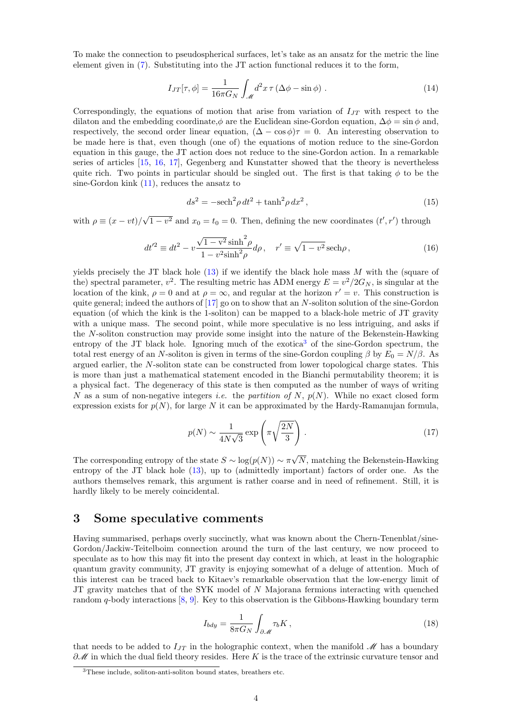To make the connection to pseudospherical surfaces, let's take as an ansatz for the metric the line element given in [\(7\)](#page-2-3). Substituting into the JT action functional reduces it to the form,

$$
I_{JT}[\tau,\phi] = \frac{1}{16\pi G_N} \int_{\mathcal{M}} d^2x \,\tau \left(\Delta\phi - \sin\phi\right) \,. \tag{14}
$$

Correspondingly, the equations of motion that arise from variation of  $I_{JT}$  with respect to the dilaton and the embedding coordinate, $\phi$  are the Euclidean sine-Gordon equation,  $\Delta \phi = \sin \phi$  and, respectively, the second order linear equation,  $(\Delta - \cos \phi)\tau = 0$ . An interesting observation to be made here is that, even though (one of) the equations of motion reduce to the sine-Gordon equation in this gauge, the JT action does not reduce to the sine-Gordon action. In a remarkable series of articles [\[15,](#page-5-14) [16,](#page-5-15) [17\]](#page-5-16), Gegenberg and Kunstatter showed that the theory is nevertheless quite rich. Two points in particular should be singled out. The first is that taking  $\phi$  to be the sine-Gordon kink [\(11\)](#page-2-4), reduces the ansatz to

$$
ds^2 = -\mathrm{sech}^2 \rho \, dt^2 + \tanh^2 \rho \, dx^2 \,,\tag{15}
$$

with  $\rho \equiv (x - vt)$ / √  $\overline{1-v^2}$  and  $x_0 = t_0 = 0$ . Then, defining the new coordinates  $(t', r')$  through

$$
dt'^2 \equiv dt^2 - v \frac{\sqrt{1 - v^2} \sinh^2 \rho}{1 - v^2 \sinh^2 \rho} d\rho, \quad r' \equiv \sqrt{1 - v^2} \operatorname{sech} \rho,
$$
 (16)

yields precisely the JT black hole  $(13)$  if we identify the black hole mass M with the (square of the) spectral parameter,  $v^2$ . The resulting metric has ADM energy  $E = v^2/2G_N$ , is singular at the location of the kink,  $\rho = 0$  and at  $\rho = \infty$ , and regular at the horizon  $r' = v$ . This construction is quite general; indeed the authors of  $[17]$  go on to show that an N-soliton solution of the sine-Gordon equation (of which the kink is the 1-soliton) can be mapped to a black-hole metric of JT gravity with a unique mass. The second point, while more speculative is no less intriguing, and asks if the N-soliton construction may provide some insight into the nature of the Bekenstein-Hawking entropy of the JT black hole. Ignoring much of the exotica<sup>[3](#page-3-0)</sup> of the sine-Gordon spectrum, the total rest energy of an N-soliton is given in terms of the sine-Gordon coupling  $\beta$  by  $E_0 = N/\beta$ . As argued earlier, the N-soliton state can be constructed from lower topological charge states. This is more than just a mathematical statement encoded in the Bianchi permutability theorem; it is a physical fact. The degeneracy of this state is then computed as the number of ways of writing N as a sum of non-negative integers *i.e.* the partition of N,  $p(N)$ . While no exact closed form expression exists for  $p(N)$ , for large N it can be approximated by the Hardy-Ramanujan formula,

$$
p(N) \sim \frac{1}{4N\sqrt{3}} \exp\left(\pi \sqrt{\frac{2N}{3}}\right). \tag{17}
$$

The corresponding entropy of the state  $S \sim \log(p(N)) \sim \pi$ √ N, matching the Bekenstein-Hawking entropy of the JT black hole [\(13\)](#page-2-2), up to (admittedly important) factors of order one. As the authors themselves remark, this argument is rather coarse and in need of refinement. Still, it is hardly likely to be merely coincidental.

# 3 Some speculative comments

Having summarised, perhaps overly succinctly, what was known about the Chern-Tenenblat/sine-Gordon/Jackiw-Teitelboim connection around the turn of the last century, we now proceed to speculate as to how this may fit into the present day context in which, at least in the holographic quantum gravity community, JT gravity is enjoying somewhat of a deluge of attention. Much of this interest can be traced back to Kitaev's remarkable observation that the low-energy limit of JT gravity matches that of the SYK model of N Majorana fermions interacting with quenched random q-body interactions [\[8,](#page-5-8) [9\]](#page-5-9). Key to this observation is the Gibbons-Hawking boundary term

$$
I_{bdy} = \frac{1}{8\pi G_N} \int_{\partial \mathcal{M}} \tau_b K \,, \tag{18}
$$

that needs to be added to  $I_{IT}$  in the holographic context, when the manifold M has a boundary  $\partial \mathcal{M}$  in which the dual field theory resides. Here K is the trace of the extrinsic curvature tensor and

<span id="page-3-0"></span><sup>3</sup>These include, soliton-anti-soliton bound states, breathers etc.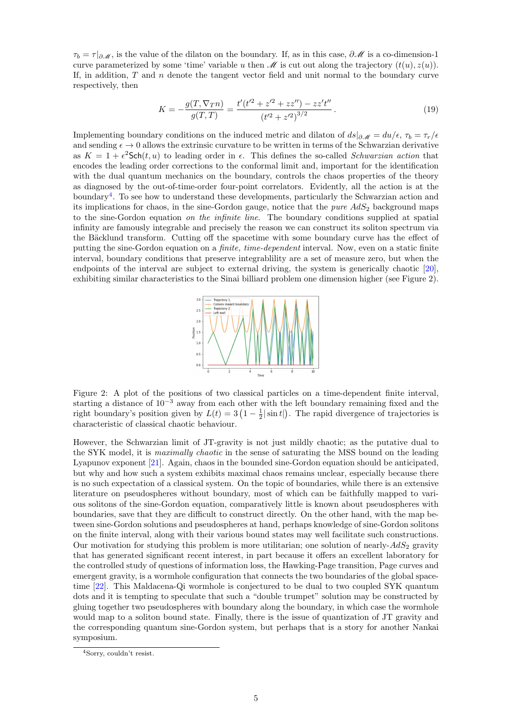$\tau_b = \tau |_{\partial M}$ , is the value of the dilaton on the boundary. If, as in this case,  $\partial M$  is a co-dimension-1 curve parameterized by some 'time' variable u then  $\mathcal M$  is cut out along the trajectory  $(t(u), z(u))$ . If, in addition,  $T$  and  $n$  denote the tangent vector field and unit normal to the boundary curve respectively, then

$$
K = -\frac{g(T, \nabla_T n)}{g(T, T)} = \frac{t'(t'^2 + z'^2 + zz'') - zz't''}{(t'^2 + z'^2)^{3/2}}.
$$
\n(19)

Implementing boundary conditions on the induced metric and dilaton of  $ds|_{\partial\mathcal{M}} = du/\epsilon$ ,  $\tau_b = \tau_r/\epsilon$ and sending  $\epsilon \to 0$  allows the extrinsic curvature to be written in terms of the Schwarzian derivative as  $K = 1 + \epsilon^2$ Sch $(t, u)$  to leading order in  $\epsilon$ . This defines the so-called Schwarzian action that encodes the leading order corrections to the conformal limit and, important for the identification with the dual quantum mechanics on the boundary, controls the chaos properties of the theory as diagnosed by the out-of-time-order four-point correlators. Evidently, all the action is at the boundary<sup>[4](#page-4-0)</sup>. To see how to understand these developments, particularly the Schwarzian action and its implications for chaos, in the sine-Gordon gauge, notice that the *pure*  $AdS<sub>2</sub>$  background maps to the sine-Gordon equation on the infinite line. The boundary conditions supplied at spatial infinity are famously integrable and precisely the reason we can construct its soliton spectrum via the Bäcklund transform. Cutting off the spacetime with some boundary curve has the effect of putting the sine-Gordon equation on a *finite, time-dependent* interval. Now, even on a static finite interval, boundary conditions that preserve integrablility are a set of measure zero, but when the endpoints of the interval are subject to external driving, the system is generically chaotic [\[20\]](#page-5-19), exhibiting similar characteristics to the Sinai billiard problem one dimension higher (see Figure 2).



Figure 2: A plot of the positions of two classical particles on a time-dependent finite interval, starting a distance of  $10^{-3}$  away from each other with the left boundary remaining fixed and the right boundary's position given by  $L(t) = 3(1 - \frac{1}{2}|\sin t|)$ . The rapid divergence of trajectories is characteristic of classical chaotic behaviour.

However, the Schwarzian limit of JT-gravity is not just mildly chaotic; as the putative dual to the SYK model, it is *maximally chaotic* in the sense of saturating the MSS bound on the leading Lyapunov exponent [\[21\]](#page-5-20). Again, chaos in the bounded sine-Gordon equation should be anticipated, but why and how such a system exhibits maximal chaos remains unclear, especially because there is no such expectation of a classical system. On the topic of boundaries, while there is an extensive literature on pseudospheres without boundary, most of which can be faithfully mapped to various solitons of the sine-Gordon equation, comparatively little is known about pseudospheres with boundaries, save that they are difficult to construct directly. On the other hand, with the map between sine-Gordon solutions and pseudospheres at hand, perhaps knowledge of sine-Gordon solitons on the finite interval, along with their various bound states may well facilitate such constructions. Our motivation for studying this problem is more utilitarian; one solution of nearly- $AdS_2$  gravity that has generated significant recent interest, in part because it offers an excellent laboratory for the controlled study of questions of information loss, the Hawking-Page transition, Page curves and emergent gravity, is a wormhole configuration that connects the two boundaries of the global spacetime [\[22\]](#page-5-21). This Maldacena-Qi wormhole is conjectured to be dual to two coupled SYK quantum dots and it is tempting to speculate that such a "double trumpet" solution may be constructed by gluing together two pseudospheres with boundary along the boundary, in which case the wormhole would map to a soliton bound state. Finally, there is the issue of quantization of JT gravity and the corresponding quantum sine-Gordon system, but perhaps that is a story for another Nankai symposium.

<span id="page-4-0"></span><sup>4</sup>Sorry, couldn't resist.